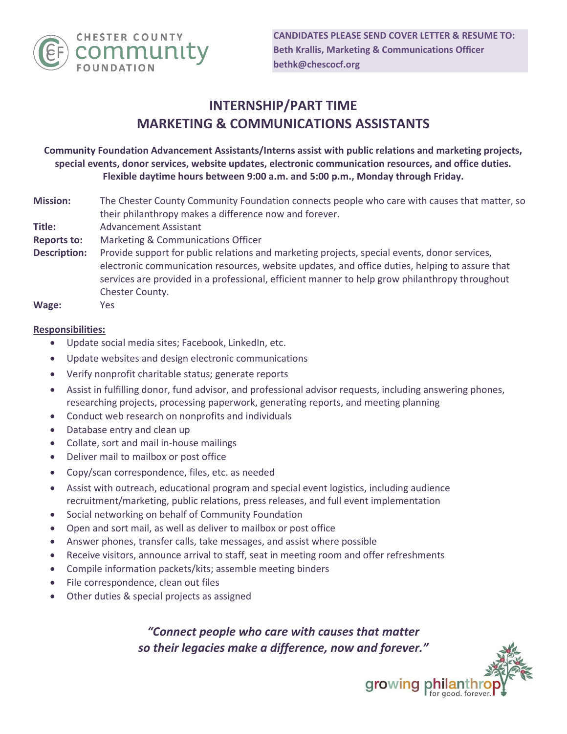

## **INTERNSHIP/PART TIME MARKETING & COMMUNICATIONS ASSISTANTS**

**Community Foundation Advancement Assistants/Interns assist with public relations and marketing projects, special events, donor services, website updates, electronic communication resources, and office duties. Flexible daytime hours between 9:00 a.m. and 5:00 p.m., Monday through Friday.**

| <b>Mission:</b>     | The Chester County Community Foundation connects people who care with causes that matter, so   |
|---------------------|------------------------------------------------------------------------------------------------|
|                     | their philanthropy makes a difference now and forever.                                         |
| Title:              | <b>Advancement Assistant</b>                                                                   |
| <b>Reports to:</b>  | Marketing & Communications Officer                                                             |
| <b>Description:</b> | Provide support for public relations and marketing projects, special events, donor services,   |
|                     | electronic communication resources, website updates, and office duties, helping to assure that |
|                     | services are provided in a professional, efficient manner to help grow philanthropy throughout |

Chester County.

**Wage:** Yes

## **Responsibilities:**

- Update social media sites; Facebook, LinkedIn, etc.
- Update websites and design electronic communications
- Verify nonprofit charitable status; generate reports
- Assist in fulfilling donor, fund advisor, and professional advisor requests, including answering phones, researching projects, processing paperwork, generating reports, and meeting planning
- Conduct web research on nonprofits and individuals
- Database entry and clean up
- Collate, sort and mail in-house mailings
- Deliver mail to mailbox or post office
- Copy/scan correspondence, files, etc. as needed
- Assist with outreach, educational program and special event logistics, including audience recruitment/marketing, public relations, press releases, and full event implementation
- Social networking on behalf of Community Foundation
- Open and sort mail, as well as deliver to mailbox or post office
- Answer phones, transfer calls, take messages, and assist where possible
- Receive visitors, announce arrival to staff, seat in meeting room and offer refreshments
- Compile information packets/kits; assemble meeting binders
- File correspondence, clean out files
- Other duties & special projects as assigned

*"Connect people who care with causes that matter so their legacies make a difference, now and forever."*